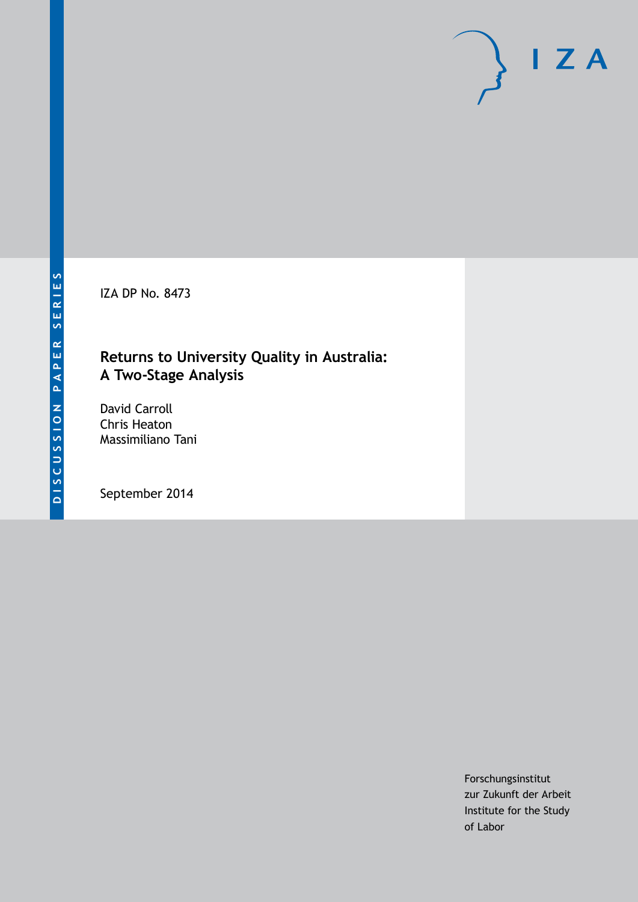IZA DP No. 8473

### **Returns to University Quality in Australia: A Two-Stage Analysis**

David Carroll Chris Heaton Massimiliano Tani

September 2014

Forschungsinstitut zur Zukunft der Arbeit Institute for the Study of Labor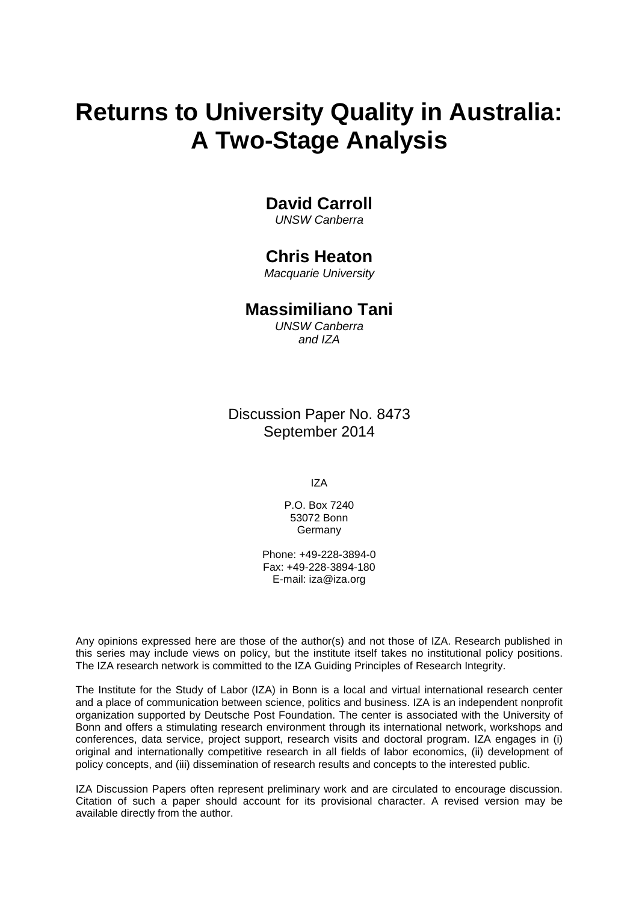# **Returns to University Quality in Australia: A Two-Stage Analysis**

### **David Carroll**

*UNSW Canberra*

### **Chris Heaton**

*Macquarie University*

### **Massimiliano Tani**

*UNSW Canberra and IZA*

Discussion Paper No. 8473 September 2014

IZA

P.O. Box 7240 53072 Bonn Germany

Phone: +49-228-3894-0 Fax: +49-228-3894-180 E-mail: [iza@iza.org](mailto:iza@iza.org)

Any opinions expressed here are those of the author(s) and not those of IZA. Research published in this series may include views on policy, but the institute itself takes no institutional policy positions. The IZA research network is committed to the IZA Guiding Principles of Research Integrity.

The Institute for the Study of Labor (IZA) in Bonn is a local and virtual international research center and a place of communication between science, politics and business. IZA is an independent nonprofit organization supported by Deutsche Post Foundation. The center is associated with the University of Bonn and offers a stimulating research environment through its international network, workshops and conferences, data service, project support, research visits and doctoral program. IZA engages in (i) original and internationally competitive research in all fields of labor economics, (ii) development of policy concepts, and (iii) dissemination of research results and concepts to the interested public.

IZA Discussion Papers often represent preliminary work and are circulated to encourage discussion. Citation of such a paper should account for its provisional character. A revised version may be available directly from the author.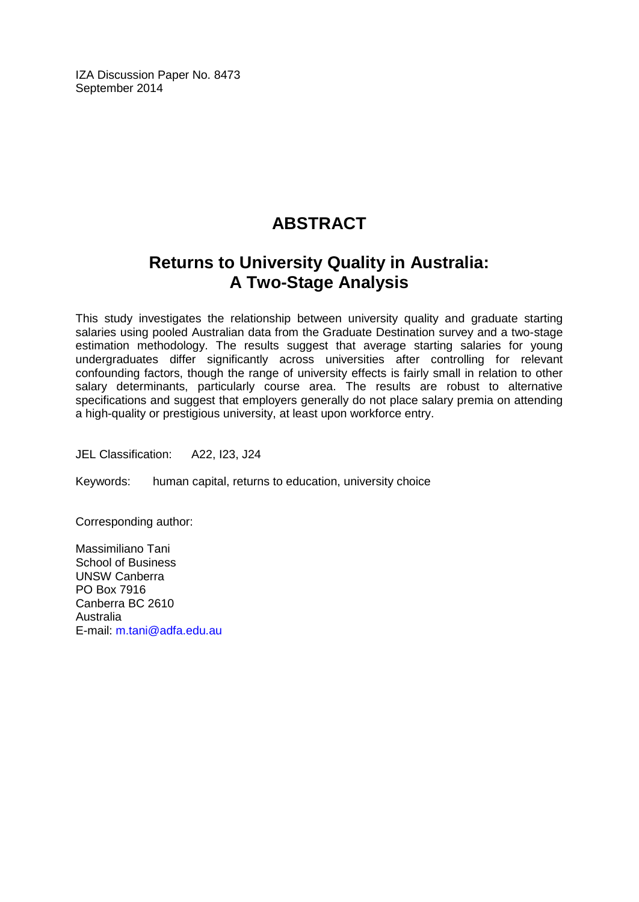IZA Discussion Paper No. 8473 September 2014

# **ABSTRACT**

# **Returns to University Quality in Australia: A Two-Stage Analysis**

This study investigates the relationship between university quality and graduate starting salaries using pooled Australian data from the Graduate Destination survey and a two-stage estimation methodology. The results suggest that average starting salaries for young undergraduates differ significantly across universities after controlling for relevant confounding factors, though the range of university effects is fairly small in relation to other salary determinants, particularly course area. The results are robust to alternative specifications and suggest that employers generally do not place salary premia on attending a high-quality or prestigious university, at least upon workforce entry.

JEL Classification: A22, I23, J24

Keywords: human capital, returns to education, university choice

Corresponding author:

Massimiliano Tani School of Business UNSW Canberra PO Box 7916 Canberra BC 2610 Australia E-mail: [m.tani@adfa.edu.au](mailto:m.tani@adfa.edu.au)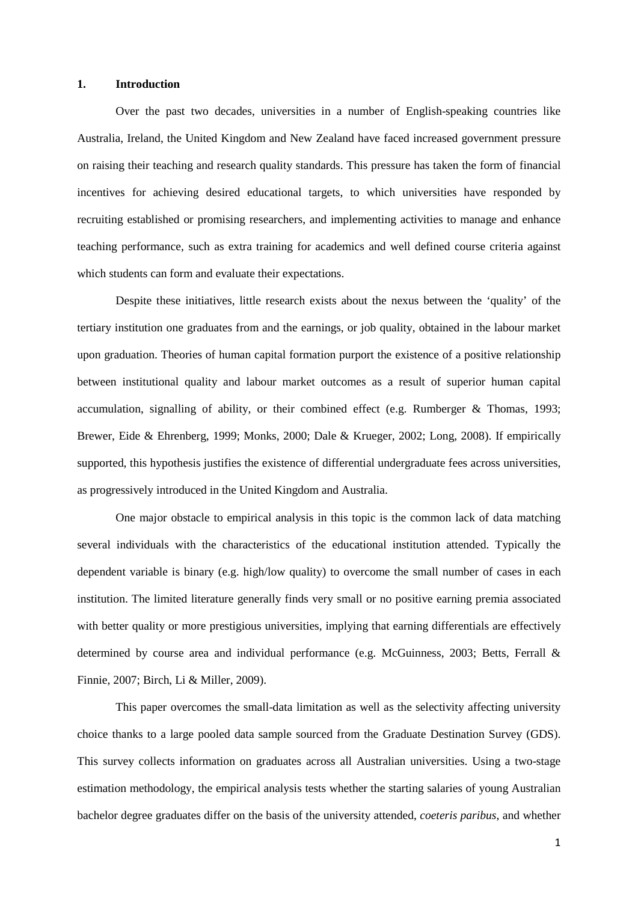#### **1. Introduction**

Over the past two decades, universities in a number of English-speaking countries like Australia, Ireland, the United Kingdom and New Zealand have faced increased government pressure on raising their teaching and research quality standards. This pressure has taken the form of financial incentives for achieving desired educational targets, to which universities have responded by recruiting established or promising researchers, and implementing activities to manage and enhance teaching performance, such as extra training for academics and well defined course criteria against which students can form and evaluate their expectations.

Despite these initiatives, little research exists about the nexus between the 'quality' of the tertiary institution one graduates from and the earnings, or job quality, obtained in the labour market upon graduation. Theories of human capital formation purport the existence of a positive relationship between institutional quality and labour market outcomes as a result of superior human capital accumulation, signalling of ability, or their combined effect (e.g. Rumberger & Thomas, 1993; Brewer, Eide & Ehrenberg, 1999; Monks, 2000; Dale & Krueger, 2002; Long, 2008). If empirically supported, this hypothesis justifies the existence of differential undergraduate fees across universities, as progressively introduced in the United Kingdom and Australia.

One major obstacle to empirical analysis in this topic is the common lack of data matching several individuals with the characteristics of the educational institution attended. Typically the dependent variable is binary (e.g. high/low quality) to overcome the small number of cases in each institution. The limited literature generally finds very small or no positive earning premia associated with better quality or more prestigious universities, implying that earning differentials are effectively determined by course area and individual performance (e.g. McGuinness, 2003; Betts, Ferrall & Finnie, 2007; Birch, Li & Miller, 2009).

This paper overcomes the small-data limitation as well as the selectivity affecting university choice thanks to a large pooled data sample sourced from the Graduate Destination Survey (GDS). This survey collects information on graduates across all Australian universities. Using a two-stage estimation methodology, the empirical analysis tests whether the starting salaries of young Australian bachelor degree graduates differ on the basis of the university attended, *coeteris paribus*, and whether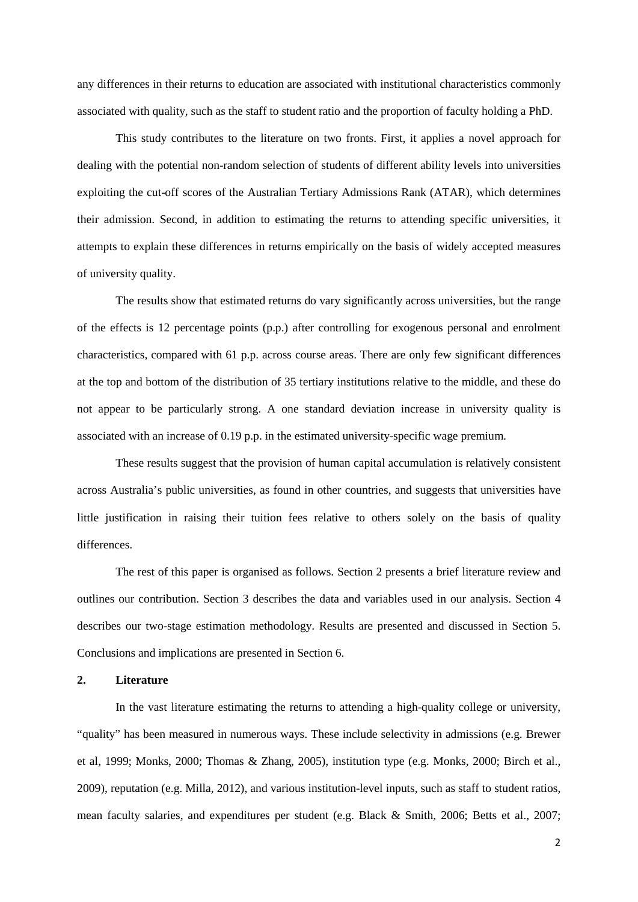any differences in their returns to education are associated with institutional characteristics commonly associated with quality, such as the staff to student ratio and the proportion of faculty holding a PhD.

This study contributes to the literature on two fronts. First, it applies a novel approach for dealing with the potential non-random selection of students of different ability levels into universities exploiting the cut-off scores of the Australian Tertiary Admissions Rank (ATAR), which determines their admission. Second, in addition to estimating the returns to attending specific universities, it attempts to explain these differences in returns empirically on the basis of widely accepted measures of university quality.

The results show that estimated returns do vary significantly across universities, but the range of the effects is 12 percentage points (p.p.) after controlling for exogenous personal and enrolment characteristics, compared with 61 p.p. across course areas. There are only few significant differences at the top and bottom of the distribution of 35 tertiary institutions relative to the middle, and these do not appear to be particularly strong. A one standard deviation increase in university quality is associated with an increase of 0.19 p.p. in the estimated university-specific wage premium.

These results suggest that the provision of human capital accumulation is relatively consistent across Australia's public universities, as found in other countries, and suggests that universities have little justification in raising their tuition fees relative to others solely on the basis of quality differences.

The rest of this paper is organised as follows. Section 2 presents a brief literature review and outlines our contribution. Section 3 describes the data and variables used in our analysis. Section 4 describes our two-stage estimation methodology. Results are presented and discussed in Section 5. Conclusions and implications are presented in Section 6.

#### **2. Literature**

<span id="page-4-0"></span>In the vast literature estimating the returns to attending a high-quality college or university, "quality" has been measured in numerous ways. These include selectivity in admissions (e.g. Brewer et al, 1999; Monks, 2000; Thomas & Zhang, 2005), institution type (e.g. Monks, 2000; Birch et al., 2009), reputation (e.g. Milla, 2012), and various institution-level inputs, such as staff to student ratios, mean faculty salaries, and expenditures per student (e.g. Black & Smith, 2006; Betts et al., 2007;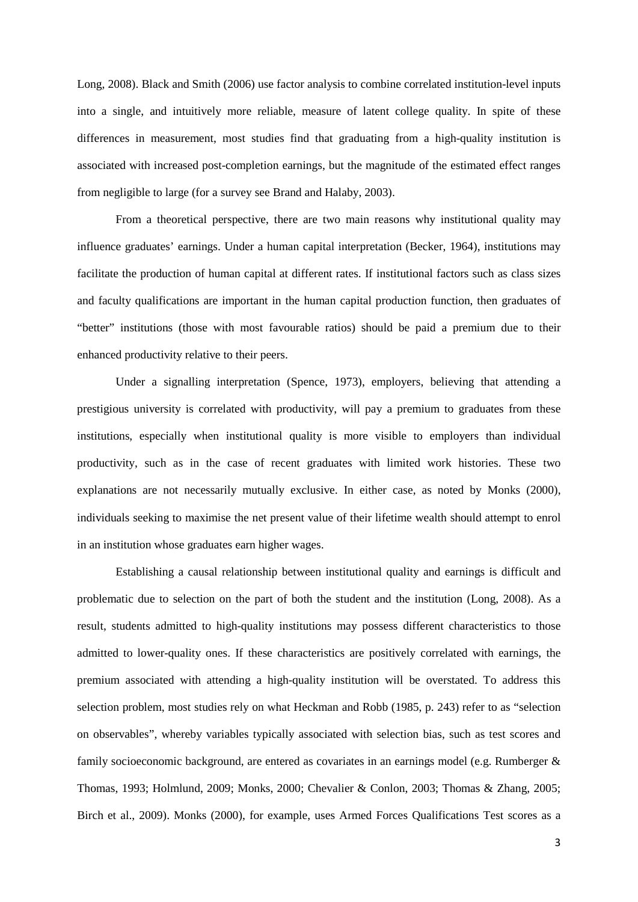Long, 2008). Black and Smith (2006) use factor analysis to combine correlated institution-level inputs into a single, and intuitively more reliable, measure of latent college quality. In spite of these differences in measurement, most studies find that graduating from a high-quality institution is associated with increased post-completion earnings, but the magnitude of the estimated effect ranges from negligible to large (for a survey see Brand and Halaby, 2003).

From a theoretical perspective, there are two main reasons why institutional quality may influence graduates' earnings. Under a human capital interpretation (Becker, 1964), institutions may facilitate the production of human capital at different rates. If institutional factors such as class sizes and faculty qualifications are important in the human capital production function, then graduates of "better" institutions (those with most favourable ratios) should be paid a premium due to their enhanced productivity relative to their peers.

Under a signalling interpretation (Spence, 1973), employers, believing that attending a prestigious university is correlated with productivity, will pay a premium to graduates from these institutions, especially when institutional quality is more visible to employers than individual productivity, such as in the case of recent graduates with limited work histories. These two explanations are not necessarily mutually exclusive. In either case, as noted by Monks (2000), individuals seeking to maximise the net present value of their lifetime wealth should attempt to enrol in an institution whose graduates earn higher wages.

Establishing a causal relationship between institutional quality and earnings is difficult and problematic due to selection on the part of both the student and the institution (Long, 2008). As a result, students admitted to high-quality institutions may possess different characteristics to those admitted to lower-quality ones. If these characteristics are positively correlated with earnings, the premium associated with attending a high-quality institution will be overstated. To address this selection problem, most studies rely on what Heckman and Robb (1985, p. 243) refer to as "selection on observables", whereby variables typically associated with selection bias, such as test scores and family socioeconomic background, are entered as covariates in an earnings model (e.g. Rumberger & Thomas, 1993; Holmlund, 2009; Monks, 2000; Chevalier & Conlon, 2003; Thomas & Zhang, 2005; Birch et al., 2009). Monks (2000), for example, uses Armed Forces Qualifications Test scores as a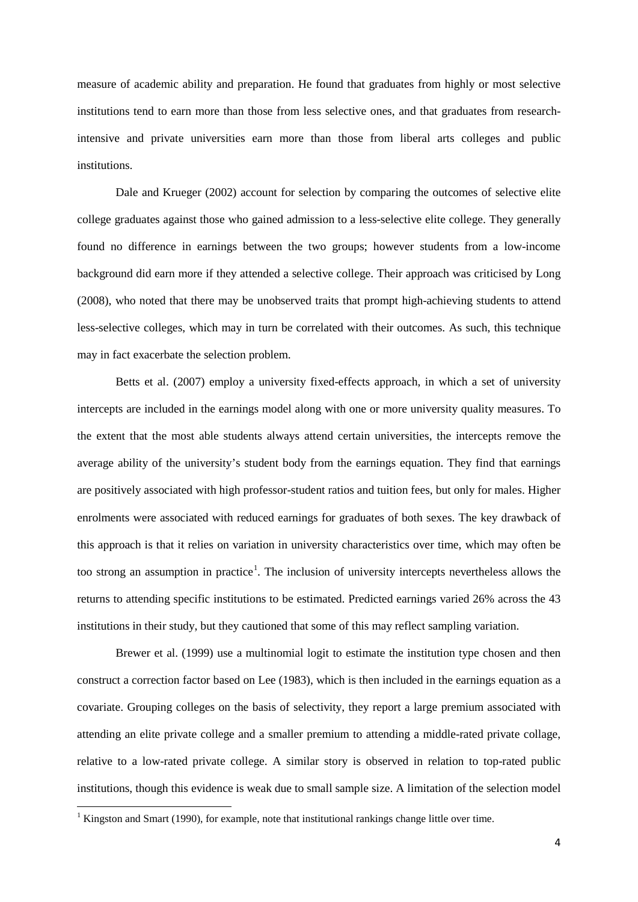measure of academic ability and preparation. He found that graduates from highly or most selective institutions tend to earn more than those from less selective ones, and that graduates from researchintensive and private universities earn more than those from liberal arts colleges and public institutions.

Dale and Krueger (2002) account for selection by comparing the outcomes of selective elite college graduates against those who gained admission to a less-selective elite college. They generally found no difference in earnings between the two groups; however students from a low-income background did earn more if they attended a selective college. Their approach was criticised by Long (2008), who noted that there may be unobserved traits that prompt high-achieving students to attend less-selective colleges, which may in turn be correlated with their outcomes. As such, this technique may in fact exacerbate the selection problem.

Betts et al. (2007) employ a university fixed-effects approach, in which a set of university intercepts are included in the earnings model along with one or more university quality measures. To the extent that the most able students always attend certain universities, the intercepts remove the average ability of the university's student body from the earnings equation. They find that earnings are positively associated with high professor-student ratios and tuition fees, but only for males. Higher enrolments were associated with reduced earnings for graduates of both sexes. The key drawback of this approach is that it relies on variation in university characteristics over time, which may often be too strong an assumption in practice<sup>[1](#page-4-0)</sup>. The inclusion of university intercepts nevertheless allows the returns to attending specific institutions to be estimated. Predicted earnings varied 26% across the 43 institutions in their study, but they cautioned that some of this may reflect sampling variation.

Brewer et al. (1999) use a multinomial logit to estimate the institution type chosen and then construct a correction factor based on Lee (1983), which is then included in the earnings equation as a covariate. Grouping colleges on the basis of selectivity, they report a large premium associated with attending an elite private college and a smaller premium to attending a middle-rated private collage, relative to a low-rated private college. A similar story is observed in relation to top-rated public institutions, though this evidence is weak due to small sample size. A limitation of the selection model

<span id="page-6-0"></span><sup>&</sup>lt;sup>1</sup> Kingston and Smart (1990), for example, note that institutional rankings change little over time.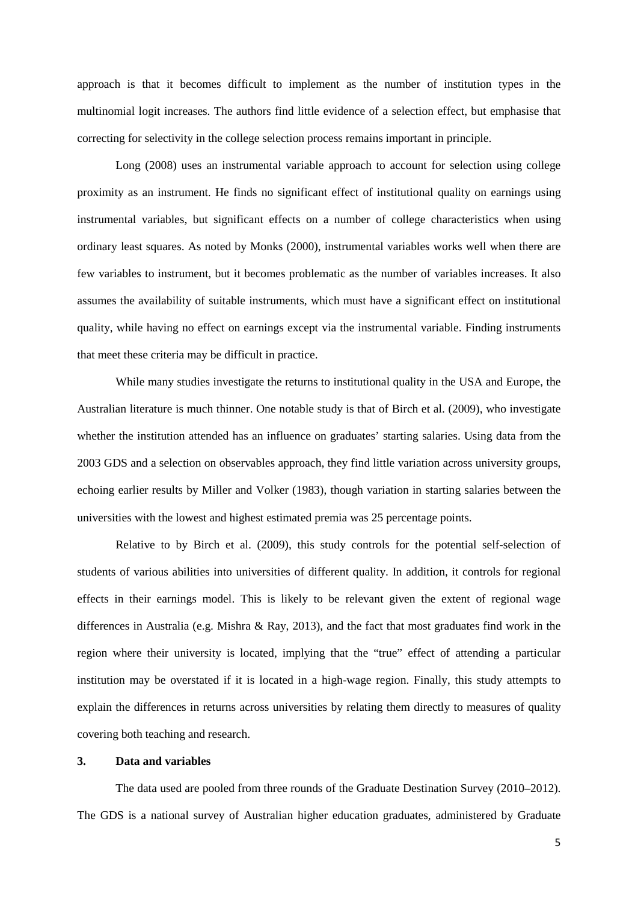approach is that it becomes difficult to implement as the number of institution types in the multinomial logit increases. The authors find little evidence of a selection effect, but emphasise that correcting for selectivity in the college selection process remains important in principle.

Long (2008) uses an instrumental variable approach to account for selection using college proximity as an instrument. He finds no significant effect of institutional quality on earnings using instrumental variables, but significant effects on a number of college characteristics when using ordinary least squares. As noted by Monks (2000), instrumental variables works well when there are few variables to instrument, but it becomes problematic as the number of variables increases. It also assumes the availability of suitable instruments, which must have a significant effect on institutional quality, while having no effect on earnings except via the instrumental variable. Finding instruments that meet these criteria may be difficult in practice.

While many studies investigate the returns to institutional quality in the USA and Europe, the Australian literature is much thinner. One notable study is that of Birch et al. (2009), who investigate whether the institution attended has an influence on graduates' starting salaries. Using data from the 2003 GDS and a selection on observables approach, they find little variation across university groups, echoing earlier results by Miller and Volker (1983), though variation in starting salaries between the universities with the lowest and highest estimated premia was 25 percentage points.

Relative to by Birch et al. (2009), this study controls for the potential self-selection of students of various abilities into universities of different quality. In addition, it controls for regional effects in their earnings model. This is likely to be relevant given the extent of regional wage differences in Australia (e.g. Mishra & Ray, 2013), and the fact that most graduates find work in the region where their university is located, implying that the "true" effect of attending a particular institution may be overstated if it is located in a high-wage region. Finally, this study attempts to explain the differences in returns across universities by relating them directly to measures of quality covering both teaching and research.

#### **3. Data and variables**

The data used are pooled from three rounds of the Graduate Destination Survey (2010–2012). The GDS is a national survey of Australian higher education graduates, administered by Graduate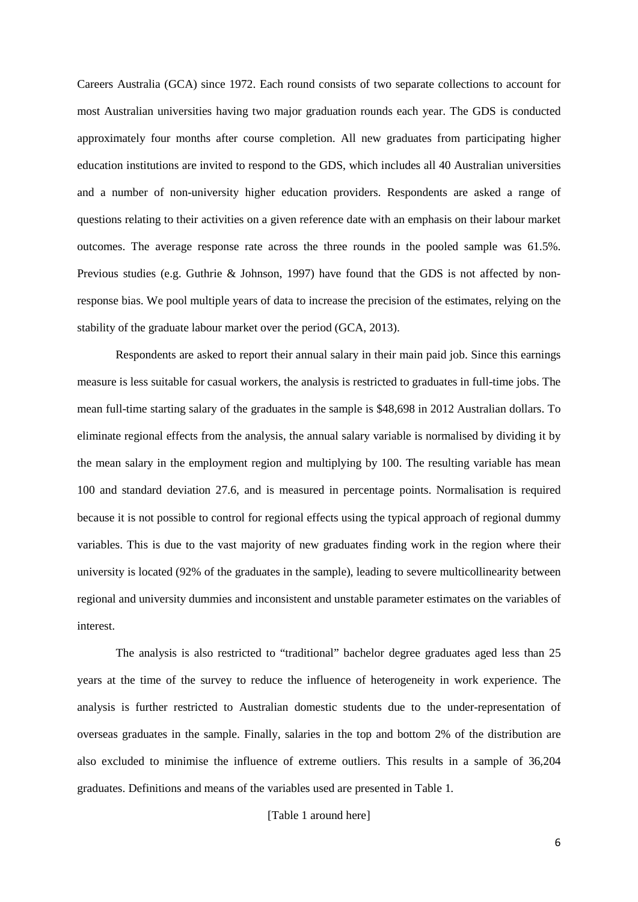Careers Australia (GCA) since 1972. Each round consists of two separate collections to account for most Australian universities having two major graduation rounds each year. The GDS is conducted approximately four months after course completion. All new graduates from participating higher education institutions are invited to respond to the GDS, which includes all 40 Australian universities and a number of non-university higher education providers. Respondents are asked a range of questions relating to their activities on a given reference date with an emphasis on their labour market outcomes. The average response rate across the three rounds in the pooled sample was 61.5%. Previous studies (e.g. Guthrie & Johnson, 1997) have found that the GDS is not affected by nonresponse bias. We pool multiple years of data to increase the precision of the estimates, relying on the stability of the graduate labour market over the period (GCA, 2013).

Respondents are asked to report their annual salary in their main paid job. Since this earnings measure is less suitable for casual workers, the analysis is restricted to graduates in full-time jobs. The mean full-time starting salary of the graduates in the sample is \$48,698 in 2012 Australian dollars. To eliminate regional effects from the analysis, the annual salary variable is normalised by dividing it by the mean salary in the employment region and multiplying by 100. The resulting variable has mean 100 and standard deviation 27.6, and is measured in percentage points. Normalisation is required because it is not possible to control for regional effects using the typical approach of regional dummy variables. This is due to the vast majority of new graduates finding work in the region where their university is located (92% of the graduates in the sample), leading to severe multicollinearity between regional and university dummies and inconsistent and unstable parameter estimates on the variables of interest.

The analysis is also restricted to "traditional" bachelor degree graduates aged less than 25 years at the time of the survey to reduce the influence of heterogeneity in work experience. The analysis is further restricted to Australian domestic students due to the under-representation of overseas graduates in the sample. Finally, salaries in the top and bottom 2% of the distribution are also excluded to minimise the influence of extreme outliers. This results in a sample of 36,204 graduates. Definitions and means of the variables used are presented in Table 1.

#### [Table 1 around here]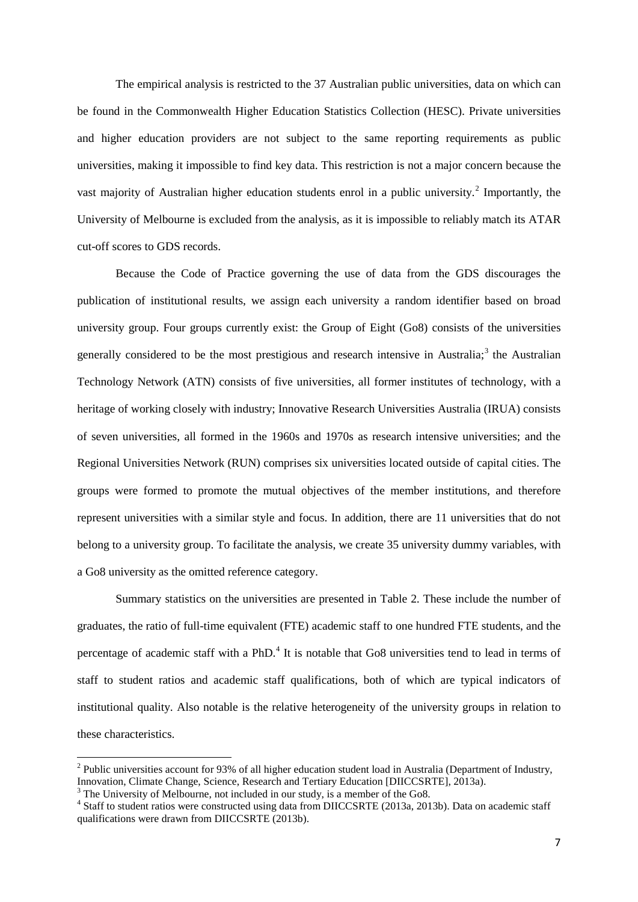The empirical analysis is restricted to the 37 Australian public universities, data on which can be found in the Commonwealth Higher Education Statistics Collection (HESC). Private universities and higher education providers are not subject to the same reporting requirements as public universities, making it impossible to find key data. This restriction is not a major concern because the vast majority of Australian higher education students enrol in a public university.<sup>[2](#page-6-0)</sup> Importantly, the University of Melbourne is excluded from the analysis, as it is impossible to reliably match its ATAR cut-off scores to GDS records.

Because the Code of Practice governing the use of data from the GDS discourages the publication of institutional results, we assign each university a random identifier based on broad university group. Four groups currently exist: the Group of Eight (Go8) consists of the universities generally considered to be the most prestigious and research intensive in Australia;<sup>[3](#page-9-0)</sup> the Australian Technology Network (ATN) consists of five universities, all former institutes of technology, with a heritage of working closely with industry; Innovative Research Universities Australia (IRUA) consists of seven universities, all formed in the 1960s and 1970s as research intensive universities; and the Regional Universities Network (RUN) comprises six universities located outside of capital cities. The groups were formed to promote the mutual objectives of the member institutions, and therefore represent universities with a similar style and focus. In addition, there are 11 universities that do not belong to a university group. To facilitate the analysis, we create 35 university dummy variables, with a Go8 university as the omitted reference category.

Summary statistics on the universities are presented in Table 2. These include the number of graduates, the ratio of full-time equivalent (FTE) academic staff to one hundred FTE students, and the percentage of academic staff with a PhD.<sup>[4](#page-9-1)</sup> It is notable that Go8 universities tend to lead in terms of staff to student ratios and academic staff qualifications, both of which are typical indicators of institutional quality. Also notable is the relative heterogeneity of the university groups in relation to these characteristics.

 $^{2}$  Public universities account for 93% of all higher education student load in Australia (Department of Industry, Innovation, Climate Change, Science, Research and Tertiary Education (DIICCSRTE), 2013a).

<span id="page-9-2"></span><span id="page-9-0"></span> $3$  The University of Melbourne, not included in our study, is a member of the Go8.

<span id="page-9-1"></span><sup>&</sup>lt;sup>4</sup> Staff to student ratios were constructed using data from DIICCSRTE (2013a, 2013b). Data on academic staff qualifications were drawn from DIICCSRTE (2013b).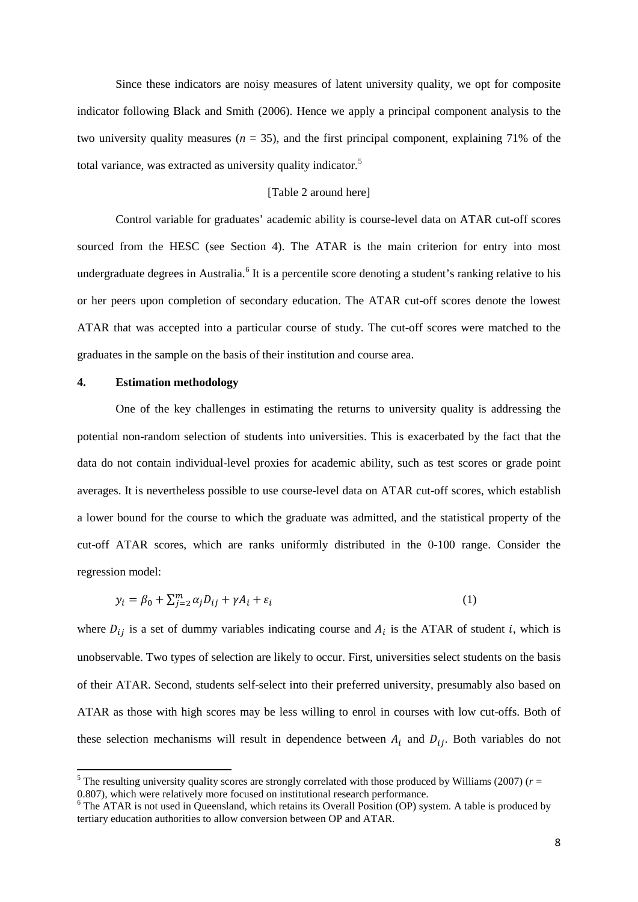Since these indicators are noisy measures of latent university quality, we opt for composite indicator following Black and Smith (2006). Hence we apply a principal component analysis to the two university quality measures ( $n = 35$ ), and the first principal component, explaining 71% of the total variance, was extracted as university quality indicator.<sup>[5](#page-9-2)</sup>

#### [Table 2 around here]

Control variable for graduates' academic ability is course-level data on ATAR cut-off scores sourced from the HESC (see Section 4). The ATAR is the main criterion for entry into most undergraduate degrees in Australia.<sup>[6](#page-10-0)</sup> It is a percentile score denoting a student's ranking relative to his or her peers upon completion of secondary education. The ATAR cut-off scores denote the lowest ATAR that was accepted into a particular course of study. The cut-off scores were matched to the graduates in the sample on the basis of their institution and course area.

#### **4. Estimation methodology**

One of the key challenges in estimating the returns to university quality is addressing the potential non-random selection of students into universities. This is exacerbated by the fact that the data do not contain individual-level proxies for academic ability, such as test scores or grade point averages. It is nevertheless possible to use course-level data on ATAR cut-off scores, which establish a lower bound for the course to which the graduate was admitted, and the statistical property of the cut-off ATAR scores, which are ranks uniformly distributed in the 0-100 range. Consider the regression model:

$$
y_i = \beta_0 + \sum_{j=2}^m \alpha_j D_{ij} + \gamma A_i + \varepsilon_i \tag{1}
$$

where  $D_{ij}$  is a set of dummy variables indicating course and  $A_i$  is the ATAR of student i, which is unobservable. Two types of selection are likely to occur. First, universities select students on the basis of their ATAR. Second, students self-select into their preferred university, presumably also based on ATAR as those with high scores may be less willing to enrol in courses with low cut-offs. Both of these selection mechanisms will result in dependence between  $A_i$  and  $D_{ij}$ . Both variables do not

<sup>&</sup>lt;sup>5</sup> The resulting university quality scores are strongly correlated with those produced by Williams (2007) ( $r =$ 0.807), which were relatively more focused on institutional research performance.

<span id="page-10-0"></span><sup>&</sup>lt;sup>6</sup> The ATAR is not used in Queensland, which retains its Overall Position (OP) system. A table is produced by tertiary education authorities to allow conversion between OP and ATAR.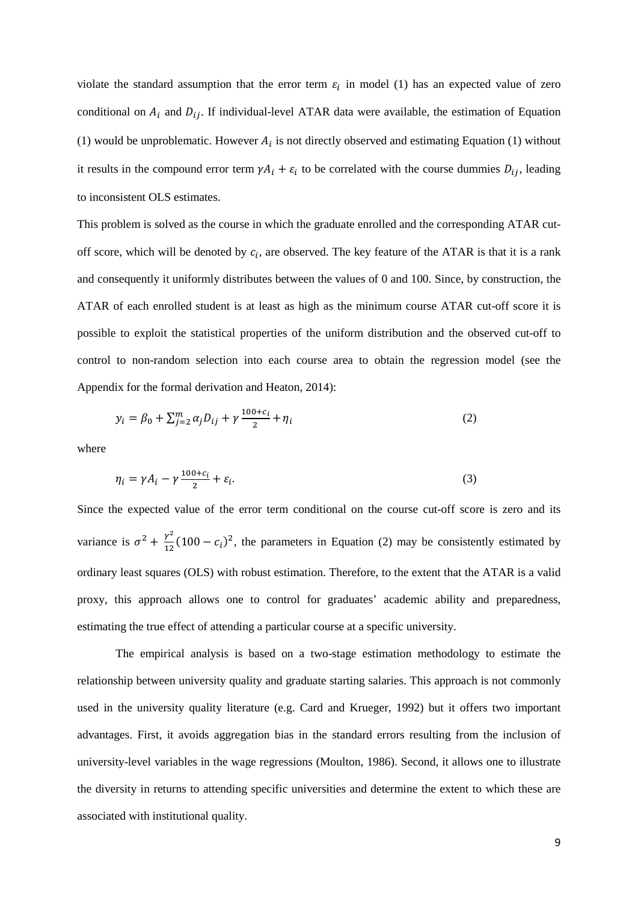violate the standard assumption that the error term  $\varepsilon_i$  in model (1) has an expected value of zero conditional on  $A_i$  and  $D_{ij}$ . If individual-level ATAR data were available, the estimation of Equation (1) would be unproblematic. However  $A_i$  is not directly observed and estimating Equation (1) without it results in the compound error term  $\gamma A_i + \varepsilon_i$  to be correlated with the course dummies  $D_{ij}$ , leading to inconsistent OLS estimates.

This problem is solved as the course in which the graduate enrolled and the corresponding ATAR cutoff score, which will be denoted by  $c_i$ , are observed. The key feature of the ATAR is that it is a rank and consequently it uniformly distributes between the values of 0 and 100. Since, by construction, the ATAR of each enrolled student is at least as high as the minimum course ATAR cut-off score it is possible to exploit the statistical properties of the uniform distribution and the observed cut-off to control to non-random selection into each course area to obtain the regression model (see the Appendix for the formal derivation and Heaton, 2014):

$$
y_i = \beta_0 + \sum_{j=2}^{m} \alpha_j D_{ij} + \gamma \frac{100 + c_i}{2} + \eta_i
$$
 (2)

where

$$
\eta_i = \gamma A_i - \gamma \frac{100 + c_i}{2} + \varepsilon_i. \tag{3}
$$

Since the expected value of the error term conditional on the course cut-off score is zero and its variance is  $\sigma^2 + \frac{\gamma^2}{12} (100 - c_i)^2$ , the parameters in Equation (2) may be consistently estimated by ordinary least squares (OLS) with robust estimation. Therefore, to the extent that the ATAR is a valid proxy, this approach allows one to control for graduates' academic ability and preparedness, estimating the true effect of attending a particular course at a specific university.

The empirical analysis is based on a two-stage estimation methodology to estimate the relationship between university quality and graduate starting salaries. This approach is not commonly used in the university quality literature (e.g. Card and Krueger, 1992) but it offers two important advantages. First, it avoids aggregation bias in the standard errors resulting from the inclusion of university-level variables in the wage regressions (Moulton, 1986). Second, it allows one to illustrate the diversity in returns to attending specific universities and determine the extent to which these are associated with institutional quality.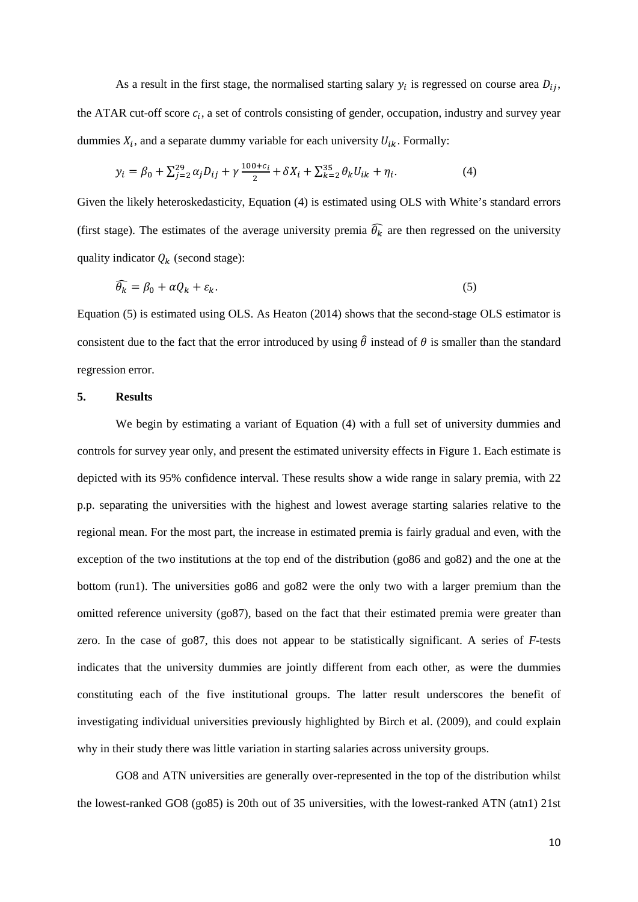As a result in the first stage, the normalised starting salary  $y_i$  is regressed on course area  $D_{ij}$ , the ATAR cut-off score  $c_i$ , a set of controls consisting of gender, occupation, industry and survey year dummies  $X_i$ , and a separate dummy variable for each university  $U_{ik}$ . Formally:

$$
y_i = \beta_0 + \sum_{j=2}^{29} \alpha_j D_{ij} + \gamma \frac{100 + c_i}{2} + \delta X_i + \sum_{k=2}^{35} \theta_k U_{ik} + \eta_i.
$$
 (4)

Given the likely heteroskedasticity, Equation (4) is estimated using OLS with White's standard errors (first stage). The estimates of the average university premia  $\hat{\theta}_k$  are then regressed on the university quality indicator  $Q_k$  (second stage):

$$
\theta_k = \beta_0 + \alpha Q_k + \varepsilon_k. \tag{5}
$$

Equation (5) is estimated using OLS. As Heaton (2014) shows that the second-stage OLS estimator is consistent due to the fact that the error introduced by using  $\hat{\theta}$  instead of  $\theta$  is smaller than the standard regression error.

#### **5. Results**

We begin by estimating a variant of Equation  $(4)$  with a full set of university dummies and controls for survey year only, and present the estimated university effects in Figure 1. Each estimate is depicted with its 95% confidence interval. These results show a wide range in salary premia, with 22 p.p. separating the universities with the highest and lowest average starting salaries relative to the regional mean. For the most part, the increase in estimated premia is fairly gradual and even, with the exception of the two institutions at the top end of the distribution (go86 and go82) and the one at the bottom (run1). The universities go86 and go82 were the only two with a larger premium than the omitted reference university (go87), based on the fact that their estimated premia were greater than zero. In the case of go87, this does not appear to be statistically significant. A series of *F*-tests indicates that the university dummies are jointly different from each other, as were the dummies constituting each of the five institutional groups. The latter result underscores the benefit of investigating individual universities previously highlighted by Birch et al. (2009), and could explain why in their study there was little variation in starting salaries across university groups.

GO8 and ATN universities are generally over-represented in the top of the distribution whilst the lowest-ranked GO8 (go85) is 20th out of 35 universities, with the lowest-ranked ATN (atn1) 21st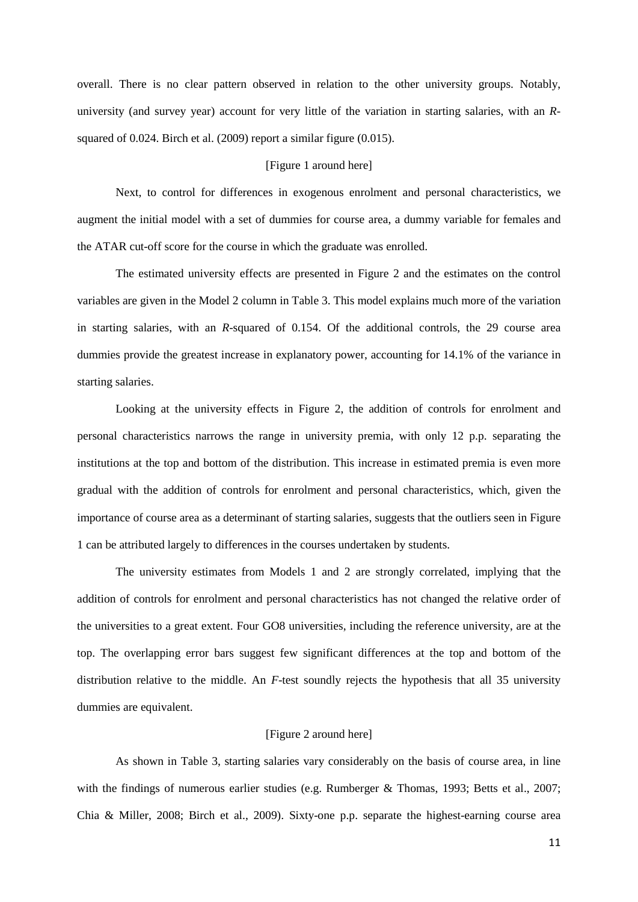overall. There is no clear pattern observed in relation to the other university groups. Notably, university (and survey year) account for very little of the variation in starting salaries, with an *R*squared of 0.024. Birch et al. (2009) report a similar figure (0.015).

#### [Figure 1 around here]

Next, to control for differences in exogenous enrolment and personal characteristics, we augment the initial model with a set of dummies for course area, a dummy variable for females and the ATAR cut-off score for the course in which the graduate was enrolled.

The estimated university effects are presented in Figure 2 and the estimates on the control variables are given in the Model 2 column in Table 3. This model explains much more of the variation in starting salaries, with an *R*-squared of 0.154. Of the additional controls, the 29 course area dummies provide the greatest increase in explanatory power, accounting for 14.1% of the variance in starting salaries.

Looking at the university effects in Figure 2, the addition of controls for enrolment and personal characteristics narrows the range in university premia, with only 12 p.p. separating the institutions at the top and bottom of the distribution. This increase in estimated premia is even more gradual with the addition of controls for enrolment and personal characteristics, which, given the importance of course area as a determinant of starting salaries, suggests that the outliers seen in Figure 1 can be attributed largely to differences in the courses undertaken by students.

The university estimates from Models 1 and 2 are strongly correlated, implying that the addition of controls for enrolment and personal characteristics has not changed the relative order of the universities to a great extent. Four GO8 universities, including the reference university, are at the top. The overlapping error bars suggest few significant differences at the top and bottom of the distribution relative to the middle. An *F*-test soundly rejects the hypothesis that all 35 university dummies are equivalent.

#### [Figure 2 around here]

As shown in Table 3, starting salaries vary considerably on the basis of course area, in line with the findings of numerous earlier studies (e.g. Rumberger & Thomas, 1993; Betts et al., 2007; Chia & Miller, 2008; Birch et al., 2009). Sixty-one p.p. separate the highest-earning course area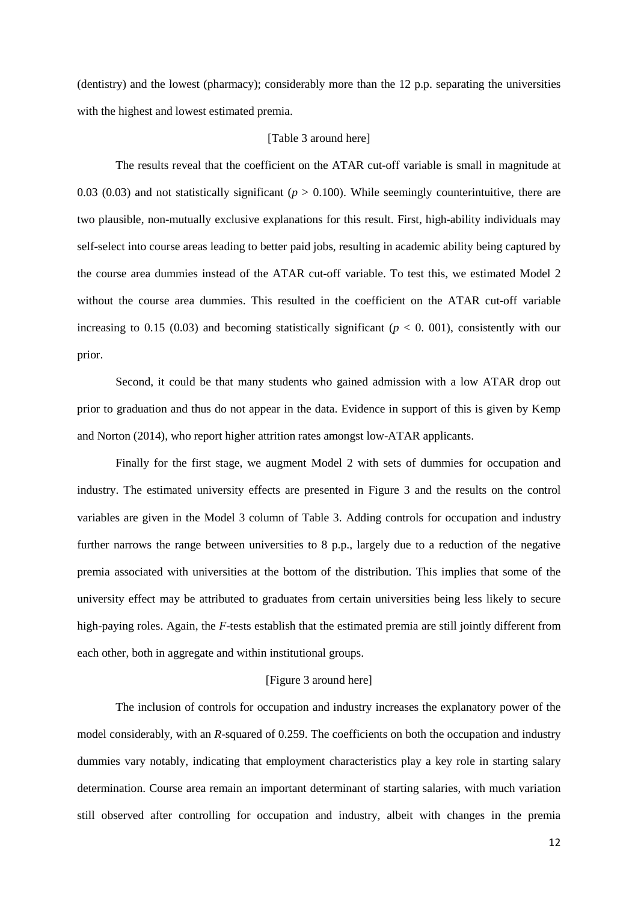(dentistry) and the lowest (pharmacy); considerably more than the 12 p.p. separating the universities with the highest and lowest estimated premia.

#### [Table 3 around here]

The results reveal that the coefficient on the ATAR cut-off variable is small in magnitude at 0.03 (0.03) and not statistically significant (*p* > 0.100). While seemingly counterintuitive, there are two plausible, non-mutually exclusive explanations for this result. First, high-ability individuals may self-select into course areas leading to better paid jobs, resulting in academic ability being captured by the course area dummies instead of the ATAR cut-off variable. To test this, we estimated Model 2 without the course area dummies. This resulted in the coefficient on the ATAR cut-off variable increasing to 0.15 (0.03) and becoming statistically significant ( $p < 0$ . 001), consistently with our prior.

Second, it could be that many students who gained admission with a low ATAR drop out prior to graduation and thus do not appear in the data. Evidence in support of this is given by Kemp and Norton (2014), who report higher attrition rates amongst low-ATAR applicants.

Finally for the first stage, we augment Model 2 with sets of dummies for occupation and industry. The estimated university effects are presented in Figure 3 and the results on the control variables are given in the Model 3 column of Table 3. Adding controls for occupation and industry further narrows the range between universities to 8 p.p., largely due to a reduction of the negative premia associated with universities at the bottom of the distribution. This implies that some of the university effect may be attributed to graduates from certain universities being less likely to secure high-paying roles. Again, the *F*-tests establish that the estimated premia are still jointly different from each other, both in aggregate and within institutional groups.

#### [Figure 3 around here]

The inclusion of controls for occupation and industry increases the explanatory power of the model considerably, with an *R*-squared of 0.259. The coefficients on both the occupation and industry dummies vary notably, indicating that employment characteristics play a key role in starting salary determination. Course area remain an important determinant of starting salaries, with much variation still observed after controlling for occupation and industry, albeit with changes in the premia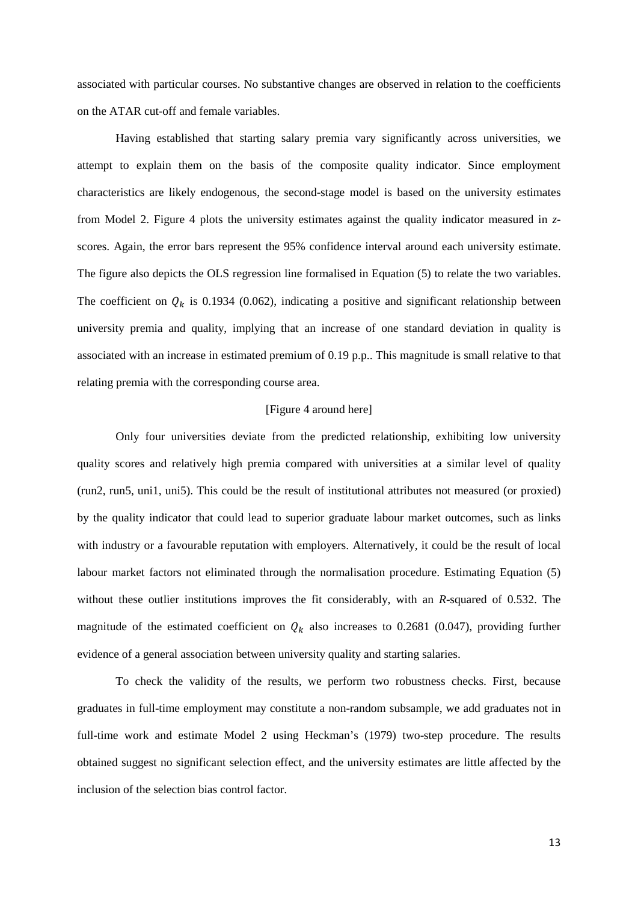associated with particular courses. No substantive changes are observed in relation to the coefficients on the ATAR cut-off and female variables.

Having established that starting salary premia vary significantly across universities, we attempt to explain them on the basis of the composite quality indicator. Since employment characteristics are likely endogenous, the second-stage model is based on the university estimates from Model 2. Figure 4 plots the university estimates against the quality indicator measured in *z*scores. Again, the error bars represent the 95% confidence interval around each university estimate. The figure also depicts the OLS regression line formalised in Equation (5) to relate the two variables. The coefficient on  $Q_k$  is 0.1934 (0.062), indicating a positive and significant relationship between university premia and quality, implying that an increase of one standard deviation in quality is associated with an increase in estimated premium of 0.19 p.p.. This magnitude is small relative to that relating premia with the corresponding course area.

#### [Figure 4 around here]

Only four universities deviate from the predicted relationship, exhibiting low university quality scores and relatively high premia compared with universities at a similar level of quality (run2, run5, uni1, uni5). This could be the result of institutional attributes not measured (or proxied) by the quality indicator that could lead to superior graduate labour market outcomes, such as links with industry or a favourable reputation with employers. Alternatively, it could be the result of local labour market factors not eliminated through the normalisation procedure. Estimating Equation (5) without these outlier institutions improves the fit considerably, with an *R*-squared of 0.532. The magnitude of the estimated coefficient on  $Q_k$  also increases to 0.2681 (0.047), providing further evidence of a general association between university quality and starting salaries.

To check the validity of the results, we perform two robustness checks. First, because graduates in full-time employment may constitute a non-random subsample, we add graduates not in full-time work and estimate Model 2 using Heckman's (1979) two-step procedure. The results obtained suggest no significant selection effect, and the university estimates are little affected by the inclusion of the selection bias control factor.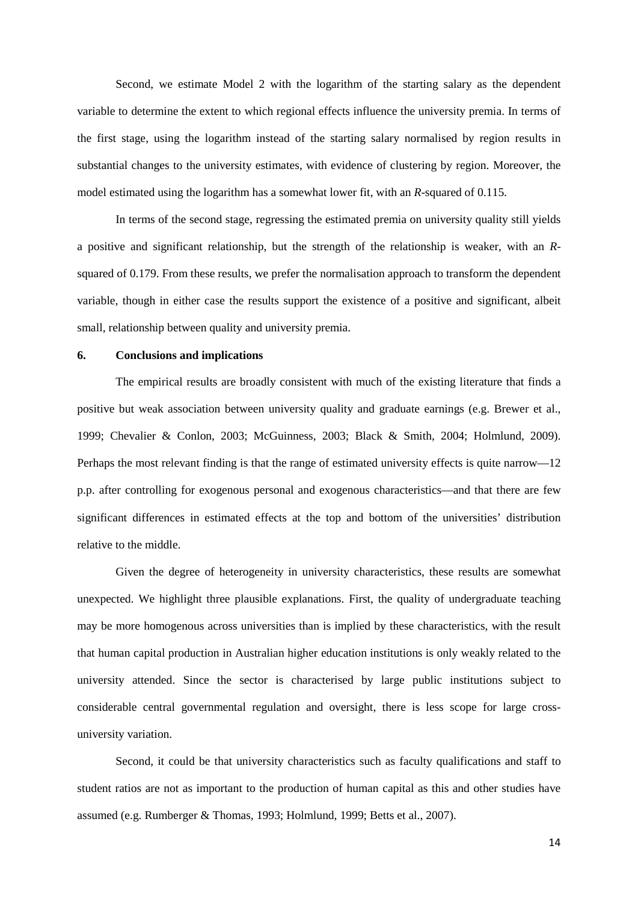Second, we estimate Model 2 with the logarithm of the starting salary as the dependent variable to determine the extent to which regional effects influence the university premia. In terms of the first stage, using the logarithm instead of the starting salary normalised by region results in substantial changes to the university estimates, with evidence of clustering by region. Moreover, the model estimated using the logarithm has a somewhat lower fit, with an *R*-squared of 0.115.

In terms of the second stage, regressing the estimated premia on university quality still yields a positive and significant relationship, but the strength of the relationship is weaker, with an *R*squared of 0.179. From these results, we prefer the normalisation approach to transform the dependent variable, though in either case the results support the existence of a positive and significant, albeit small, relationship between quality and university premia.

#### **6. Conclusions and implications**

The empirical results are broadly consistent with much of the existing literature that finds a positive but weak association between university quality and graduate earnings (e.g. Brewer et al., 1999; Chevalier & Conlon, 2003; McGuinness, 2003; Black & Smith, 2004; Holmlund, 2009). Perhaps the most relevant finding is that the range of estimated university effects is quite narrow—12 p.p. after controlling for exogenous personal and exogenous characteristics—and that there are few significant differences in estimated effects at the top and bottom of the universities' distribution relative to the middle.

Given the degree of heterogeneity in university characteristics, these results are somewhat unexpected. We highlight three plausible explanations. First, the quality of undergraduate teaching may be more homogenous across universities than is implied by these characteristics, with the result that human capital production in Australian higher education institutions is only weakly related to the university attended. Since the sector is characterised by large public institutions subject to considerable central governmental regulation and oversight, there is less scope for large crossuniversity variation.

Second, it could be that university characteristics such as faculty qualifications and staff to student ratios are not as important to the production of human capital as this and other studies have assumed (e.g. Rumberger & Thomas, 1993; Holmlund, 1999; Betts et al., 2007).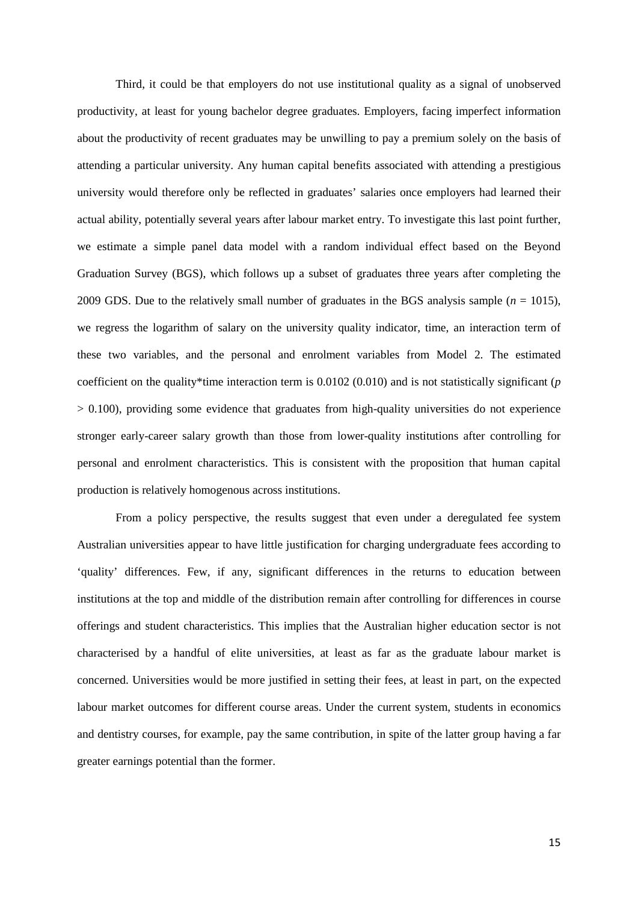Third, it could be that employers do not use institutional quality as a signal of unobserved productivity, at least for young bachelor degree graduates. Employers, facing imperfect information about the productivity of recent graduates may be unwilling to pay a premium solely on the basis of attending a particular university. Any human capital benefits associated with attending a prestigious university would therefore only be reflected in graduates' salaries once employers had learned their actual ability, potentially several years after labour market entry. To investigate this last point further, we estimate a simple panel data model with a random individual effect based on the Beyond Graduation Survey (BGS), which follows up a subset of graduates three years after completing the 2009 GDS. Due to the relatively small number of graduates in the BGS analysis sample  $(n = 1015)$ . we regress the logarithm of salary on the university quality indicator, time, an interaction term of these two variables, and the personal and enrolment variables from Model 2. The estimated coefficient on the quality\*time interaction term is 0.0102 (0.010) and is not statistically significant (*p* > 0.100), providing some evidence that graduates from high-quality universities do not experience stronger early-career salary growth than those from lower-quality institutions after controlling for personal and enrolment characteristics. This is consistent with the proposition that human capital production is relatively homogenous across institutions.

From a policy perspective, the results suggest that even under a deregulated fee system Australian universities appear to have little justification for charging undergraduate fees according to 'quality' differences. Few, if any, significant differences in the returns to education between institutions at the top and middle of the distribution remain after controlling for differences in course offerings and student characteristics. This implies that the Australian higher education sector is not characterised by a handful of elite universities, at least as far as the graduate labour market is concerned. Universities would be more justified in setting their fees, at least in part, on the expected labour market outcomes for different course areas. Under the current system, students in economics and dentistry courses, for example, pay the same contribution, in spite of the latter group having a far greater earnings potential than the former.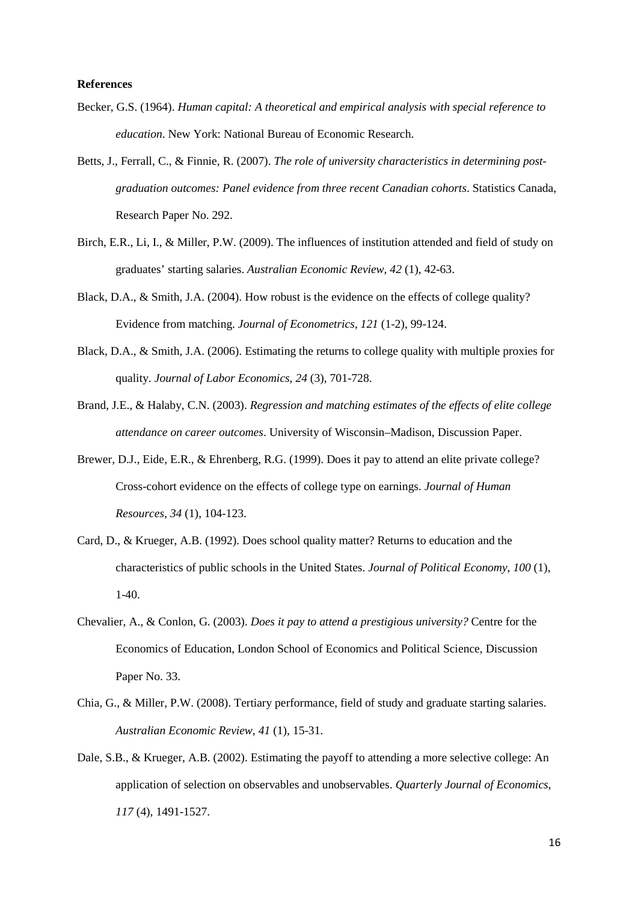#### **References**

- Becker, G.S. (1964). *Human capital: A theoretical and empirical analysis with special reference to education*. New York: National Bureau of Economic Research.
- Betts, J., Ferrall, C., & Finnie, R. (2007). *The role of university characteristics in determining postgraduation outcomes: Panel evidence from three recent Canadian cohorts*. Statistics Canada, Research Paper No. 292.
- Birch, E.R., Li, I., & Miller, P.W. (2009). The influences of institution attended and field of study on graduates' starting salaries. *Australian Economic Review*, *42* (1), 42-63.
- Black, D.A., & Smith, J.A. (2004). How robust is the evidence on the effects of college quality? Evidence from matching. *Journal of Econometrics*, *121* (1-2), 99-124.
- Black, D.A., & Smith, J.A. (2006). Estimating the returns to college quality with multiple proxies for quality. *Journal of Labor Economics*, *24* (3), 701-728.
- Brand, J.E., & Halaby, C.N. (2003). *Regression and matching estimates of the effects of elite college attendance on career outcomes*. University of Wisconsin–Madison, Discussion Paper.
- Brewer, D.J., Eide, E.R., & Ehrenberg, R.G. (1999). Does it pay to attend an elite private college? Cross-cohort evidence on the effects of college type on earnings. *Journal of Human Resources*, *34* (1), 104-123.
- Card, D., & Krueger, A.B. (1992). Does school quality matter? Returns to education and the characteristics of public schools in the United States. *Journal of Political Economy*, *100* (1),  $1-40.$
- Chevalier, A., & Conlon, G. (2003). *Does it pay to attend a prestigious university?* Centre for the Economics of Education, London School of Economics and Political Science, Discussion Paper No. 33.
- Chia, G., & Miller, P.W. (2008). Tertiary performance, field of study and graduate starting salaries. *Australian Economic Review*, *41* (1), 15-31.
- Dale, S.B., & Krueger, A.B. (2002). Estimating the payoff to attending a more selective college: An application of selection on observables and unobservables. *Quarterly Journal of Economics*, *117* (4), 1491-1527.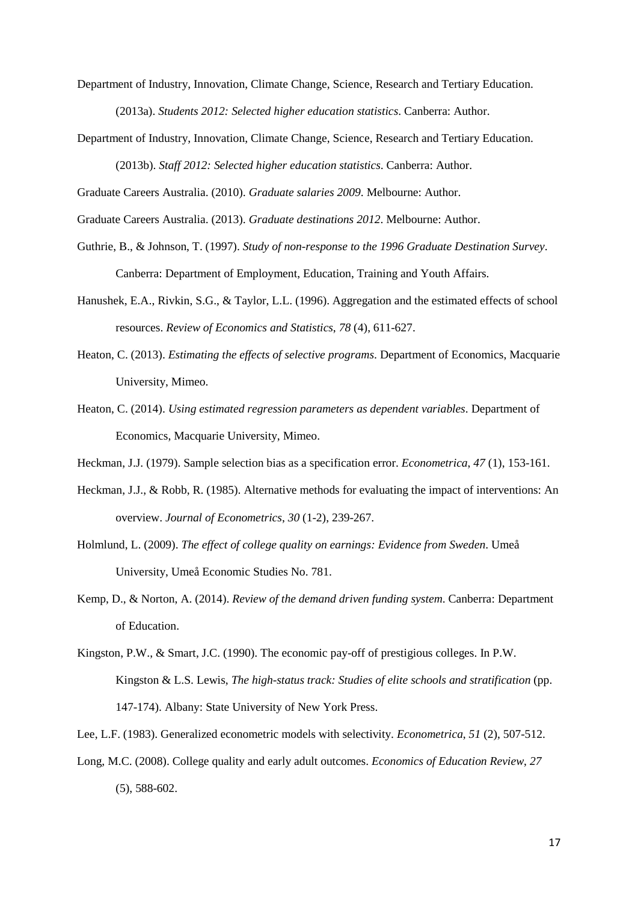Department of Industry, Innovation, Climate Change, Science, Research and Tertiary Education.

(2013a). *Students 2012: Selected higher education statistics*. Canberra: Author.

Department of Industry, Innovation, Climate Change, Science, Research and Tertiary Education. (2013b). *Staff 2012: Selected higher education statistics*. Canberra: Author.

Graduate Careers Australia. (2010). *Graduate salaries 2009*. Melbourne: Author.

Graduate Careers Australia. (2013). *Graduate destinations 2012*. Melbourne: Author.

- Guthrie, B., & Johnson, T. (1997). *Study of non-response to the 1996 Graduate Destination Survey*. Canberra: Department of Employment, Education, Training and Youth Affairs.
- Hanushek, E.A., Rivkin, S.G., & Taylor, L.L. (1996). Aggregation and the estimated effects of school resources. *Review of Economics and Statistics*, *78* (4), 611-627.
- Heaton, C. (2013). *Estimating the effects of selective programs*. Department of Economics, Macquarie University, Mimeo.
- Heaton, C. (2014). *Using estimated regression parameters as dependent variables*. Department of Economics, Macquarie University, Mimeo.
- Heckman, J.J. (1979). Sample selection bias as a specification error. *Econometrica*, *47* (1), 153-161.
- Heckman, J.J., & Robb, R. (1985). Alternative methods for evaluating the impact of interventions: An overview. *Journal of Econometrics*, *30* (1-2), 239-267.
- Holmlund, L. (2009). *The effect of college quality on earnings: Evidence from Sweden*. Umeå University, Umeå Economic Studies No. 781.
- Kemp, D., & Norton, A. (2014). *Review of the demand driven funding system*. Canberra: Department of Education.
- Kingston, P.W., & Smart, J.C. (1990). The economic pay-off of prestigious colleges. In P.W. Kingston & L.S. Lewis, *The high-status track: Studies of elite schools and stratification* (pp. 147-174). Albany: State University of New York Press.
- Lee, L.F. (1983). Generalized econometric models with selectivity. *Econometrica*, *51* (2), 507-512.
- Long, M.C. (2008). College quality and early adult outcomes. *Economics of Education Review*, *27* (5), 588-602.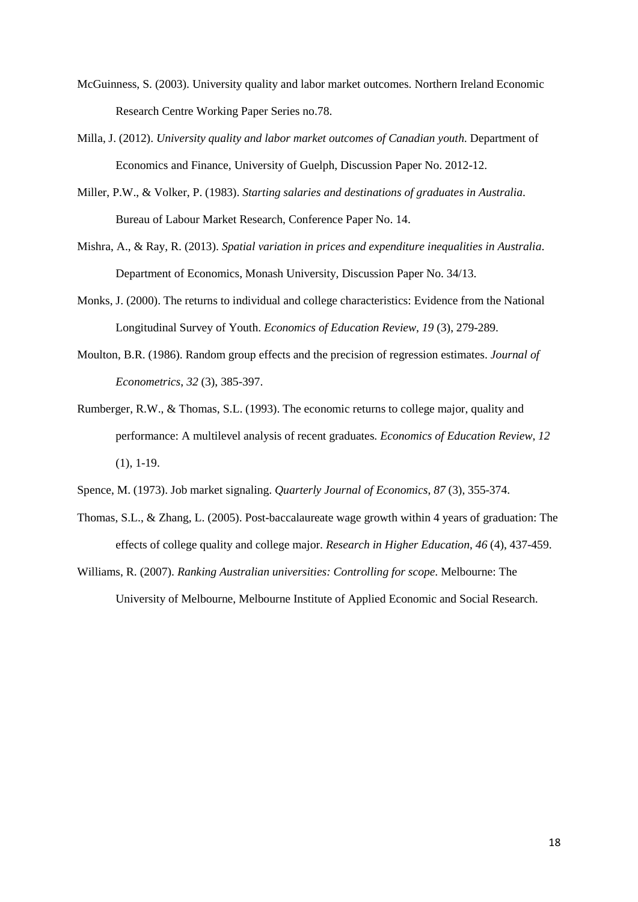- McGuinness, S. (2003). University quality and labor market outcomes. Northern Ireland Economic Research Centre Working Paper Series no.78.
- Milla, J. (2012). *University quality and labor market outcomes of Canadian youth*. Department of Economics and Finance, University of Guelph, Discussion Paper No. 2012-12.
- Miller, P.W., & Volker, P. (1983). *Starting salaries and destinations of graduates in Australia*. Bureau of Labour Market Research, Conference Paper No. 14.
- Mishra, A., & Ray, R. (2013). *Spatial variation in prices and expenditure inequalities in Australia*. Department of Economics, Monash University, Discussion Paper No. 34/13.
- Monks, J. (2000). The returns to individual and college characteristics: Evidence from the National Longitudinal Survey of Youth. *Economics of Education Review*, *19* (3), 279-289.
- Moulton, B.R. (1986). Random group effects and the precision of regression estimates. *Journal of Econometrics*, *32* (3), 385-397.
- Rumberger, R.W., & Thomas, S.L. (1993). The economic returns to college major, quality and performance: A multilevel analysis of recent graduates. *Economics of Education Review*, *12* (1), 1-19.
- Spence, M. (1973). Job market signaling. *Quarterly Journal of Economics*, *87* (3), 355-374.
- Thomas, S.L., & Zhang, L. (2005). Post-baccalaureate wage growth within 4 years of graduation: The effects of college quality and college major. *Research in Higher Education*, *46* (4), 437-459.
- Williams, R. (2007). *Ranking Australian universities: Controlling for scope*. Melbourne: The University of Melbourne, Melbourne Institute of Applied Economic and Social Research.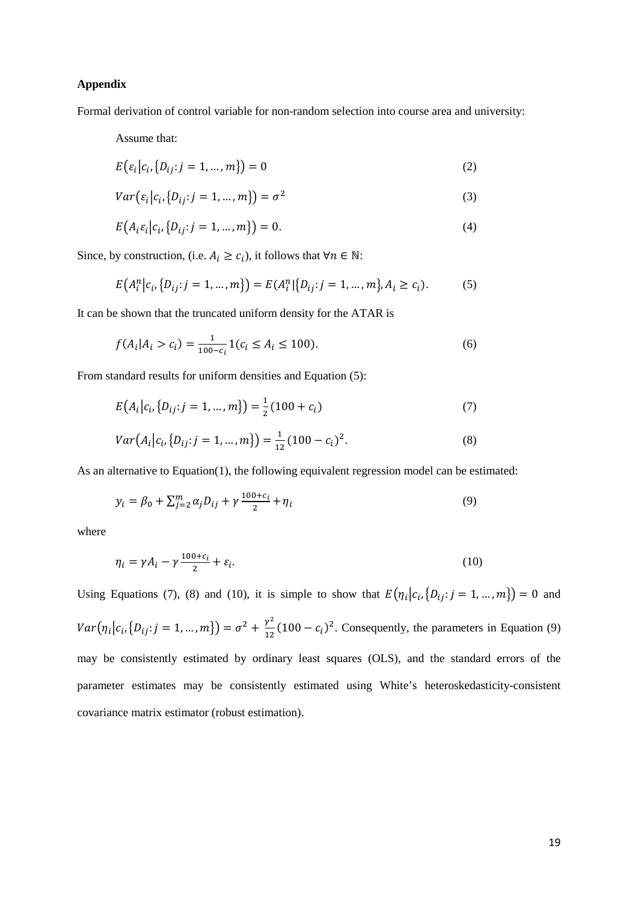#### **Appendix**

Formal derivation of control variable for non-random selection into course area and university:

Assume that:

$$
E(e_i|c_i, \{D_{ij}: j = 1, ..., m\}) = 0
$$
\n(2)

$$
Var(\varepsilon_i | c_i, \{D_{ij} : j = 1, ..., m\}) = \sigma^2
$$
\n(3)

$$
E(A_i \varepsilon_i | c_i, \{D_{ij} : j = 1, ..., m\}) = 0.
$$
\n(4)

Since, by construction, (i.e.  $A_i \geq c_i$ ), it follows that  $\forall n \in \mathbb{N}$ :

$$
E(A_i^n|c_i, \{D_{ij}: j = 1, ..., m\}) = E(A_i^n|\{D_{ij}: j = 1, ..., m\}, A_i \ge c_i).
$$
 (5)

It can be shown that the truncated uniform density for the ATAR is

$$
f(A_i|A_i > c_i) = \frac{1}{100 - c_i} 1(c_i \le A_i \le 100).
$$
 (6)

From standard results for uniform densities and Equation (5):

$$
E(A_i|c_i, \{D_{ij}: j = 1, ..., m\}) = \frac{1}{2}(100 + c_i)
$$
\n(7)

$$
Var(A_i|c_i, \{D_{ij}: j = 1, ..., m\}) = \frac{1}{12}(100 - c_i)^2.
$$
\n(8)

As an alternative to Equation(1), the following equivalent regression model can be estimated:

$$
y_i = \beta_0 + \sum_{j=2}^{m} \alpha_j D_{ij} + \gamma \frac{100 + c_i}{2} + \eta_i
$$
\n(9)

where

$$
\eta_i = \gamma A_i - \gamma \frac{100 + c_i}{2} + \varepsilon_i. \tag{10}
$$

Using Equations (7), (8) and (10), it is simple to show that  $E(\eta_i | c_i, \{D_{ij} : j = 1, ..., m\}) = 0$  and  $Var(\eta_i | c_i, \{D_{ij} : j = 1, ..., m\}) = \sigma^2 + \frac{\gamma^2}{12} (100 - c_i)^2$ . Consequently, the parameters in Equation (9) may be consistently estimated by ordinary least squares (OLS), and the standard errors of the parameter estimates may be consistently estimated using White's heteroskedasticity-consistent covariance matrix estimator (robust estimation).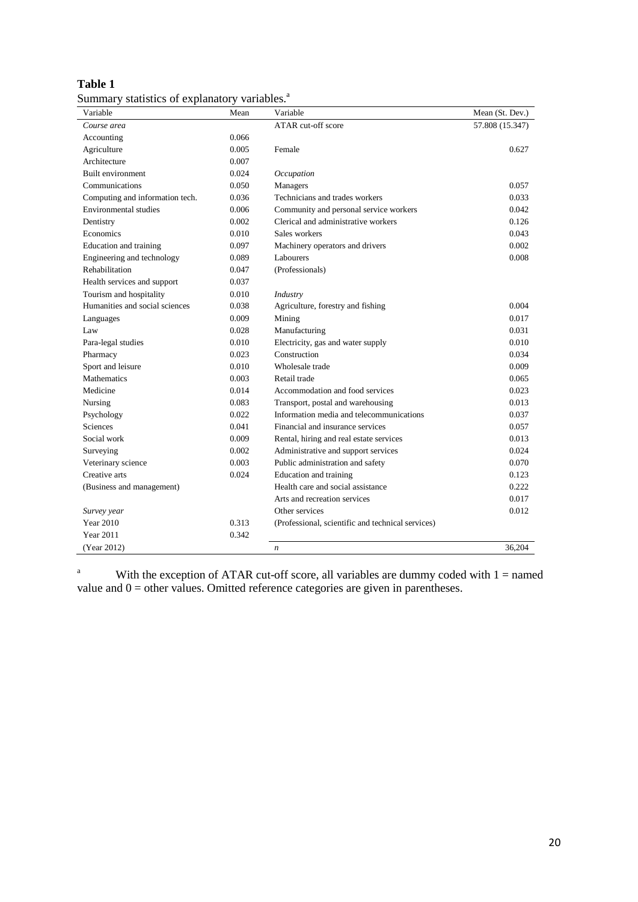| anı<br>16 |  |
|-----------|--|
|           |  |

| Summary statistics of explanatory variables. <sup>a</sup> |  |  |  |  |  |
|-----------------------------------------------------------|--|--|--|--|--|
|-----------------------------------------------------------|--|--|--|--|--|

| Variable                        | Mean  | Variable                                          | Mean (St. Dev.) |
|---------------------------------|-------|---------------------------------------------------|-----------------|
| Course area                     |       | ATAR cut-off score                                | 57.808 (15.347) |
| Accounting                      | 0.066 |                                                   |                 |
| Agriculture                     | 0.005 | Female                                            | 0.627           |
| Architecture                    | 0.007 |                                                   |                 |
| Built environment               | 0.024 | Occupation                                        |                 |
| Communications                  | 0.050 | Managers                                          | 0.057           |
| Computing and information tech. | 0.036 | Technicians and trades workers                    | 0.033           |
| Environmental studies           | 0.006 | Community and personal service workers            | 0.042           |
| Dentistry                       | 0.002 | Clerical and administrative workers               | 0.126           |
| Economics                       | 0.010 | Sales workers                                     | 0.043           |
| Education and training          | 0.097 | Machinery operators and drivers                   | 0.002           |
| Engineering and technology      | 0.089 | Labourers                                         | 0.008           |
| Rehabilitation                  | 0.047 | (Professionals)                                   |                 |
| Health services and support     | 0.037 |                                                   |                 |
| Tourism and hospitality         | 0.010 | Industry                                          |                 |
| Humanities and social sciences  | 0.038 | Agriculture, forestry and fishing                 | 0.004           |
| Languages                       | 0.009 | Mining                                            | 0.017           |
| Law                             | 0.028 | Manufacturing                                     | 0.031           |
| Para-legal studies              | 0.010 | Electricity, gas and water supply                 | 0.010           |
| Pharmacy                        | 0.023 | Construction                                      | 0.034           |
| Sport and leisure               | 0.010 | Wholesale trade                                   | 0.009           |
| Mathematics                     | 0.003 | Retail trade                                      | 0.065           |
| Medicine                        | 0.014 | Accommodation and food services                   | 0.023           |
| Nursing                         | 0.083 | Transport, postal and warehousing                 | 0.013           |
| Psychology                      | 0.022 | Information media and telecommunications          | 0.037           |
| <b>Sciences</b>                 | 0.041 | Financial and insurance services                  | 0.057           |
| Social work                     | 0.009 | Rental, hiring and real estate services           | 0.013           |
| Surveying                       | 0.002 | Administrative and support services               | 0.024           |
| Veterinary science              | 0.003 | Public administration and safety                  | 0.070           |
| Creative arts                   | 0.024 | Education and training                            | 0.123           |
| (Business and management)       |       | Health care and social assistance                 | 0.222           |
|                                 |       | Arts and recreation services                      | 0.017           |
| Survey year                     |       | Other services                                    | 0.012           |
| <b>Year 2010</b>                | 0.313 | (Professional, scientific and technical services) |                 |
| <b>Year 2011</b>                | 0.342 |                                                   |                 |
| (Year 2012)                     |       | $\boldsymbol{n}$                                  | 36,204          |

<sup>a</sup> With the exception of ATAR cut-off score, all variables are dummy coded with  $1 =$  named value and  $0 =$  other values. Omitted reference categories are given in parentheses.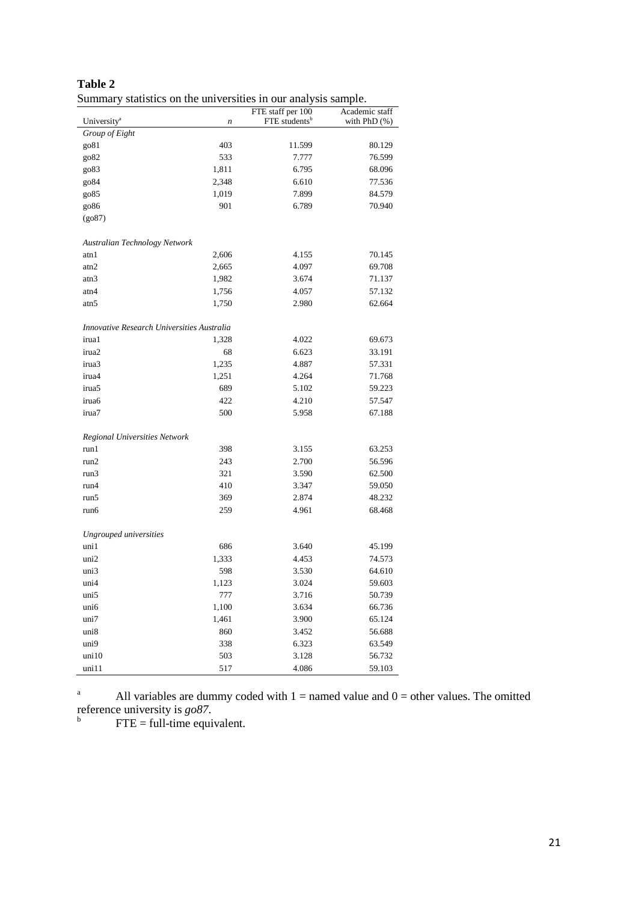| Summary statistics on the universities in our analysis sample. |                  |                           |                |  |  |
|----------------------------------------------------------------|------------------|---------------------------|----------------|--|--|
|                                                                |                  | FTE staff per 100         | Academic staff |  |  |
| University <sup>a</sup>                                        | $\boldsymbol{n}$ | FTE students <sup>b</sup> | with $PhD$ $%$ |  |  |
| Group of Eight                                                 | 403              |                           |                |  |  |
| go81                                                           | 533              | 11.599                    | 80.129         |  |  |
| go82                                                           |                  | 7.777                     | 76.599         |  |  |
| go83                                                           | 1,811            | 6.795                     | 68.096         |  |  |
| go84                                                           | 2,348            | 6.610                     | 77.536         |  |  |
| go85                                                           | 1,019            | 7.899                     | 84.579         |  |  |
| go86                                                           | 901              | 6.789                     | 70.940         |  |  |
| (go87)                                                         |                  |                           |                |  |  |
| Australian Technology Network                                  |                  |                           |                |  |  |
| atn 1                                                          | 2,606            | 4.155                     | 70.145         |  |  |
| atn2                                                           | 2,665            | 4.097                     | 69.708         |  |  |
| atn3                                                           | 1,982            | 3.674                     | 71.137         |  |  |
| atn4                                                           | 1,756            | 4.057                     | 57.132         |  |  |
| atn5                                                           | 1,750            | 2.980                     | 62.664         |  |  |
| Innovative Research Universities Australia                     |                  |                           |                |  |  |
| irua1                                                          | 1,328            | 4.022                     | 69.673         |  |  |
| irua2                                                          | 68               | 6.623                     | 33.191         |  |  |
| irua3                                                          | 1,235            | 4.887                     | 57.331         |  |  |
| irua4                                                          | 1,251            | 4.264                     | 71.768         |  |  |
| irua5                                                          | 689              | 5.102                     | 59.223         |  |  |
| irua6                                                          | 422              | 4.210                     | 57.547         |  |  |
| irua7                                                          | 500              | 5.958                     | 67.188         |  |  |
|                                                                |                  |                           |                |  |  |
| Regional Universities Network                                  |                  |                           |                |  |  |
| run1                                                           | 398              | 3.155                     | 63.253         |  |  |
| run2                                                           | 243              | 2.700                     | 56.596         |  |  |
| run3                                                           | 321              | 3.590                     | 62.500         |  |  |
| run4                                                           | 410              | 3.347                     | 59.050         |  |  |
| run5                                                           | 369              | 2.874                     | 48.232         |  |  |
| run6                                                           | 259              | 4.961                     | 68.468         |  |  |
| Ungrouped universities                                         |                  |                           |                |  |  |
| uni1                                                           | 686              | 3.640                     | 45.199         |  |  |
| uni2                                                           | 1,333            | 4.453                     | 74.573         |  |  |
| uni3                                                           | 598              | 3.530                     | 64.610         |  |  |
| uni4                                                           | 1,123            | 3.024                     | 59.603         |  |  |
| uni5                                                           | 777              | 3.716                     | 50.739         |  |  |
| uni6                                                           | 1,100            | 3.634                     | 66.736         |  |  |
| uni7                                                           | 1,461            | 3.900                     | 65.124         |  |  |
| uni8                                                           | 860              | 3.452                     | 56.688         |  |  |
| uni9                                                           | 338              | 6.323                     | 63.549         |  |  |
| uni10                                                          | 503              | 3.128                     | 56.732         |  |  |
| uni11                                                          | 517              | 4.086                     | 59.103         |  |  |

| Table 2                                                        |  |  |  |
|----------------------------------------------------------------|--|--|--|
| Summary statistics on the universities in our analysis sample. |  |  |  |

<sup>a</sup> All variables are dummy coded with  $1 =$  named value and  $0 =$  other values. The omitted

reference university is  $g\phi$ 87.<br><sup>b</sup> FTE = full-time equivalent.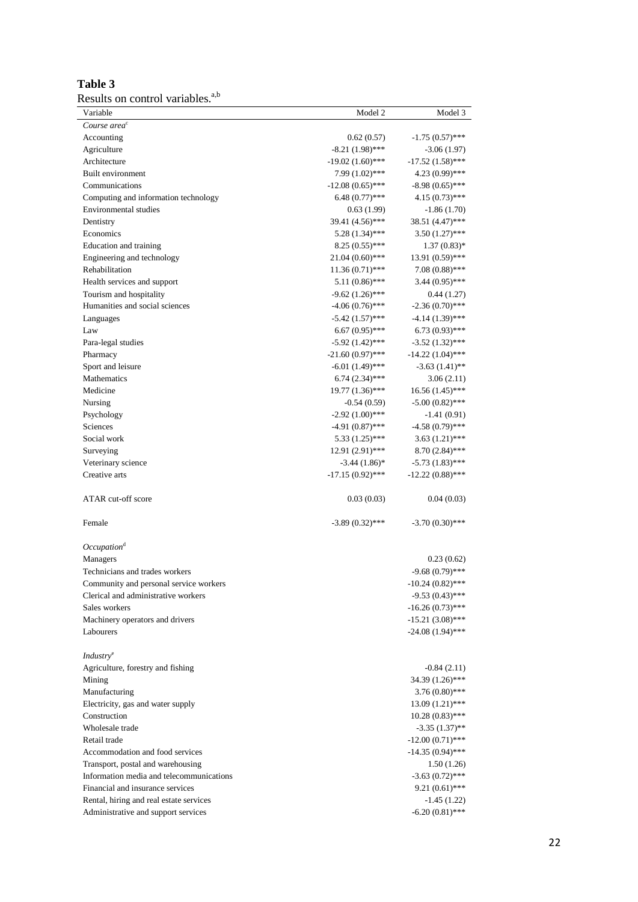| <b>Table 3</b>                               |  |
|----------------------------------------------|--|
| Results on control variables. <sup>a,b</sup> |  |

| Variable                                 | Model 2            | Model 3            |
|------------------------------------------|--------------------|--------------------|
| Course area <sup>c</sup>                 |                    |                    |
| Accounting                               | 0.62(0.57)         | $-1.75(0.57)$ ***  |
| Agriculture                              | $-8.21(1.98)$ ***  | $-3.06(1.97)$      |
| Architecture                             | $-19.02(1.60)$ *** | $-17.52(1.58)$ *** |
| Built environment                        | $7.99(1.02)$ ***   | 4.23 (0.99)***     |
| Communications                           | $-12.08(0.65)$ *** | $-8.98(0.65)$ ***  |
| Computing and information technology     | $6.48(0.77)$ ***   | $4.15(0.73)$ ***   |
| Environmental studies                    | 0.63(1.99)         | $-1.86(1.70)$      |
| Dentistry                                | 39.41 (4.56)***    | 38.51 (4.47)***    |
| Economics                                | $5.28(1.34)$ ***   | $3.50(1.27)$ ***   |
| <b>Education</b> and training            | $8.25(0.55)$ ***   | $1.37(0.83)*$      |
| Engineering and technology               | $21.04(0.60)$ ***  | 13.91 (0.59)***    |
| Rehabilitation                           | $11.36(0.71)$ ***  | $7.08(0.88)$ ***   |
| Health services and support              | $5.11(0.86)$ ***   | $3.44(0.95)$ ***   |
| Tourism and hospitality                  | $-9.62(1.26)$ ***  | 0.44(1.27)         |
| Humanities and social sciences           | $-4.06(0.76)$ ***  | $-2.36(0.70)$ ***  |
| Languages                                | $-5.42(1.57)$ ***  | $-4.14(1.39)$ ***  |
| Law                                      | $6.67(0.95)$ ***   | $6.73(0.93)$ ***   |
| Para-legal studies                       | $-5.92(1.42)$ ***  | $-3.52(1.32)$ ***  |
| Pharmacy                                 | $-21.60(0.97)$ *** | $-14.22(1.04)$ *** |
| Sport and leisure                        | $-6.01(1.49)$ ***  | $-3.63(1.41)$ **   |
| Mathematics                              | $6.74(2.34)$ ***   | 3.06(2.11)         |
| Medicine                                 | $19.77(1.36)$ ***  | $16.56(1.45)$ ***  |
| Nursing                                  | $-0.54(0.59)$      | $-5.00(0.82)$ ***  |
| Psychology                               | $-2.92(1.00)$ ***  | $-1.41(0.91)$      |
| Sciences                                 | $-4.91(0.87)$ ***  | $-4.58(0.79)$ ***  |
| Social work                              | $5.33(1.25)$ ***   | $3.63(1.21)$ ***   |
| Surveying                                | 12.91 (2.91)***    | $8.70(2.84)$ ***   |
| Veterinary science                       | $-3.44(1.86)$ *    | $-5.73(1.83)$ ***  |
| Creative arts                            | $-17.15(0.92)$ *** | $-12.22(0.88)$ *** |
| ATAR cut-off score                       | 0.03(0.03)         | 0.04(0.03)         |
| Female                                   | $-3.89(0.32)$ ***  | $-3.70(0.30)$ ***  |
| Occupation <sup>d</sup>                  |                    |                    |
| Managers                                 |                    | 0.23(0.62)         |
| Technicians and trades workers           |                    | $-9.68(0.79)$ ***  |
| Community and personal service workers   |                    | $-10.24(0.82)$ *** |
| Clerical and administrative workers      |                    | $-9.53(0.43)$ ***  |
| Sales workers                            |                    | $-16.26(0.73)$ *** |
| Machinery operators and drivers          |                    | $-15.21(3.08)$ *** |
| Labourers                                |                    | $-24.08(1.94)$ *** |
| <i>Industry</i> <sup>e</sup>             |                    |                    |
| Agriculture, forestry and fishing        |                    | $-0.84(2.11)$      |
| Mining                                   |                    | 34.39 (1.26)***    |
| Manufacturing                            |                    | $3.76(0.80)$ ***   |
| Electricity, gas and water supply        |                    | $13.09(1.21)$ ***  |
| Construction                             |                    | $10.28(0.83)$ ***  |
| Wholesale trade                          |                    | $-3.35(1.37)$ **   |
| Retail trade                             |                    | $-12.00(0.71)$ *** |
| Accommodation and food services          |                    | $-14.35(0.94)$ *** |
| Transport, postal and warehousing        |                    | 1.50(1.26)         |
| Information media and telecommunications |                    | $-3.63(0.72)$ ***  |
| Financial and insurance services         |                    | $9.21(0.61)$ ***   |
| Rental, hiring and real estate services  |                    | $-1.45(1.22)$      |
| Administrative and support services      |                    | $-6.20(0.81)$ ***  |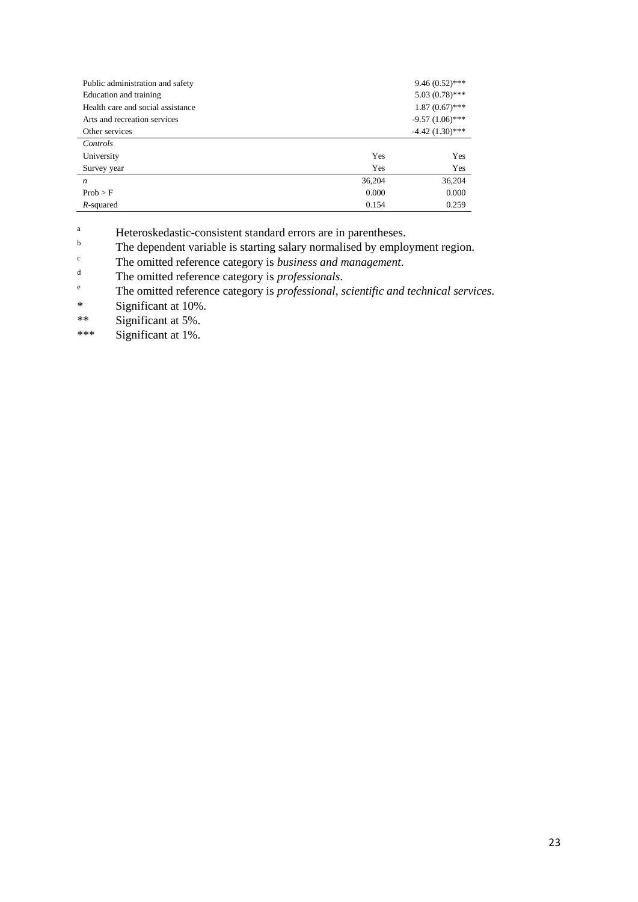| Public administration and safety  |        | $9.46(0.52)$ ***  |
|-----------------------------------|--------|-------------------|
| Education and training            |        | $5.03(0.78)$ ***  |
| Health care and social assistance |        | $1.87(0.67)$ ***  |
| Arts and recreation services      |        | $-9.57(1.06)$ *** |
| Other services                    |        | $-4.42(1.30)$ *** |
| Controls                          |        |                   |
| University                        | Yes    | Yes               |
| Survey year                       | Yes    | Yes               |
| $\boldsymbol{n}$                  | 36,204 | 36,204            |
| Prob > F                          | 0.000  | 0.000             |
| R-squared                         | 0.154  | 0.259             |

<sup>a</sup><br>
Heteroskedastic-consistent standard errors are in parentheses.<br>
The dependent verible is starting select permelised by employ

 $\sum_{n=1}^{\infty}$  The dependent variable is starting salary normalised by employment region.

<sup>c</sup> The omitted reference category is *business and management*.

<sup>d</sup> The omitted reference category is *professionals*.

<sup>e</sup> The omitted reference category is *professional, scientific and technical services*.<br>Significant at 10%

Significant at 10%.

\*\* Significant at 5%.<br> $***$  Significant at 1%

Significant at 1%.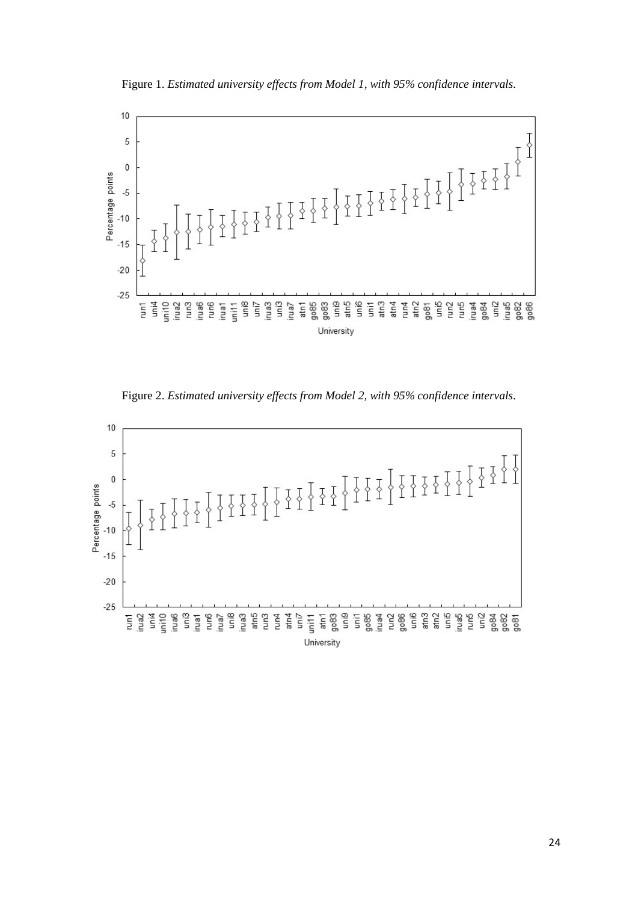Figure 1. *Estimated university effects from Model 1, with 95% confidence intervals*.



Figure 2. *Estimated university effects from Model 2, with 95% confidence intervals*.